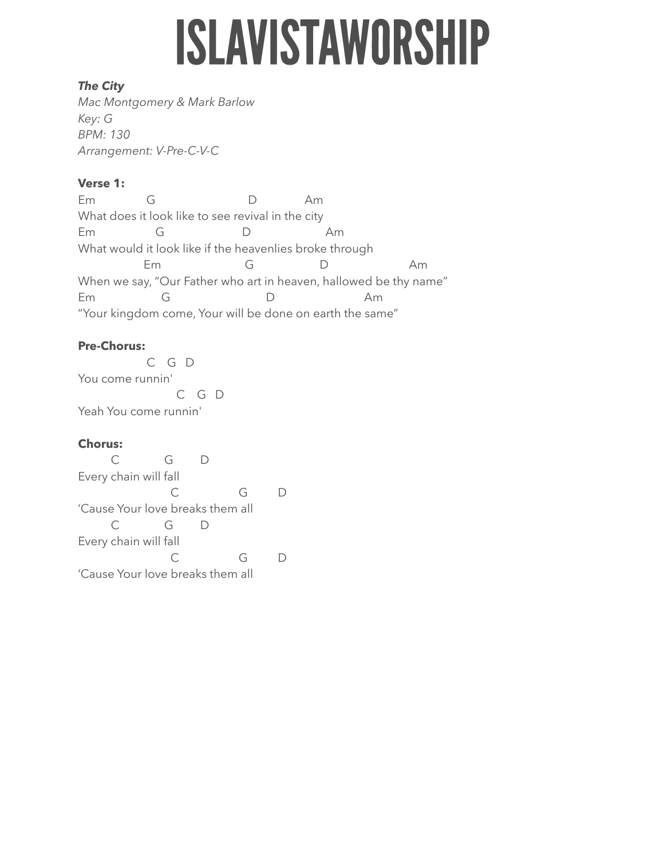# **ISLAVISTAWORSHIP**

## *The City*

*Mac Montgomery & Mark Barlow Key: G BPM: 130 Arrangement: V-Pre-C-V-C* 

## **Verse 1:**

Em G D Am What does it look like to see revival in the city Em G D Am What would it look like if the heavenlies broke through Em G D Am When we say, "Our Father who art in heaven, hallowed be thy name" Em G D Am "Your kingdom come, Your will be done on earth the same"

## **Pre-Chorus:**

 C G D You come runnin' C G D Yeah You come runnin'

## **Chorus:**

 C G D Every chain will fall C G D 'Cause Your love breaks them all C G D Every chain will fall C G D 'Cause Your love breaks them all